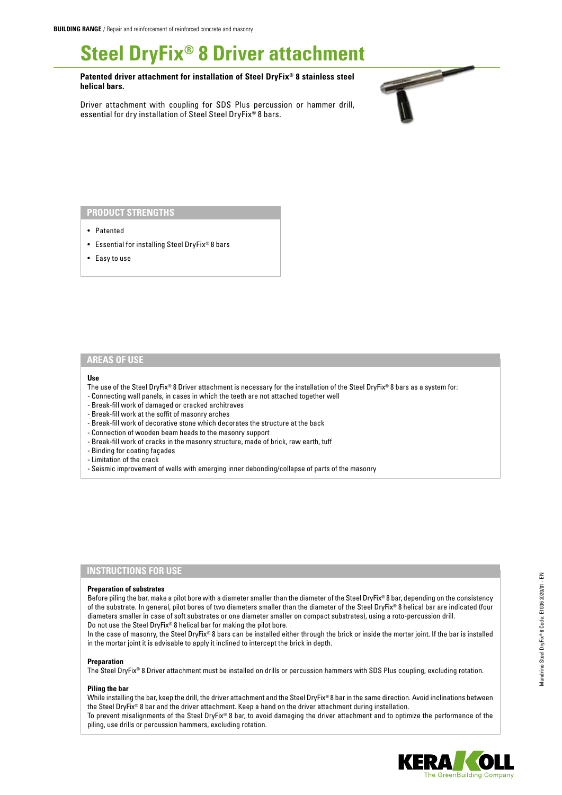# **Steel DryFix® 8 Driver attachment**

**Patented driver attachment for installation of Steel DryFix® 8 stainless steel helical bars.**

Driver attachment with coupling for SDS Plus percussion or hammer drill, essential for dry installation of Steel Steel DryFix® 8 bars.



## **PRODUCT STRENGTHS**

- Patented
- Essential for installing Steel DryFix® 8 bars
- Easy to use

## **AREAS OF USE**

#### **Use**

- The use of the Steel DryFix® 8 Driver attachment is necessary for the installation of the Steel DryFix® 8 bars as a system for:
- Connecting wall panels, in cases in which the teeth are not attached together well
- Break-fill work of damaged or cracked architraves
- Break-fill work at the soffit of masonry arches
- Break-fill work of decorative stone which decorates the structure at the back
- Connection of wooden beam heads to the masonry support
- Break-fill work of cracks in the masonry structure, made of brick, raw earth, tuff
- Binding for coating façades
- Limitation of the crack
- Seismic improvement of walls with emerging inner debonding/collapse of parts of the masonry

## **INSTRUCTIONS FOR USE**

#### **Preparation of substrates**

Before piling the bar, make a pilot bore with a diameter smaller than the diameter of the Steel DryFix® 8 bar, depending on the consistency of the substrate. In general, pilot bores of two diameters smaller than the diameter of the Steel DryFix® 8 helical bar are indicated (four diameters smaller in case of soft substrates or one diameter smaller on compact substrates), using a roto-percussion drill. Do not use the Steel DryFix® 8 helical bar for making the pilot bore.

In the case of masonry, the Steel DryFix® 8 bars can be installed either through the brick or inside the mortar joint. If the bar is installed in the mortar joint it is advisable to apply it inclined to intercept the brick in depth.

#### **Preparation**

The Steel DryFix® 8 Driver attachment must be installed on drills or percussion hammers with SDS Plus coupling, excluding rotation.

#### **Piling the bar**

While installing the bar, keep the drill, the driver attachment and the Steel DryFix® 8 bar in the same direction. Avoid inclinations between the Steel DryFix® 8 bar and the driver attachment. Keep a hand on the driver attachment during installation.

To prevent misalignments of the Steel DryFix® 8 bar, to avoid damaging the driver attachment and to optimize the performance of the piling, use drills or percussion hammers, excluding rotation.

Mandrino Steel DryFix® 8 Code: E1036 2020/01 - EN

Mandrino Steel DryFix® 8 Code: E1036 2020/01 - EN